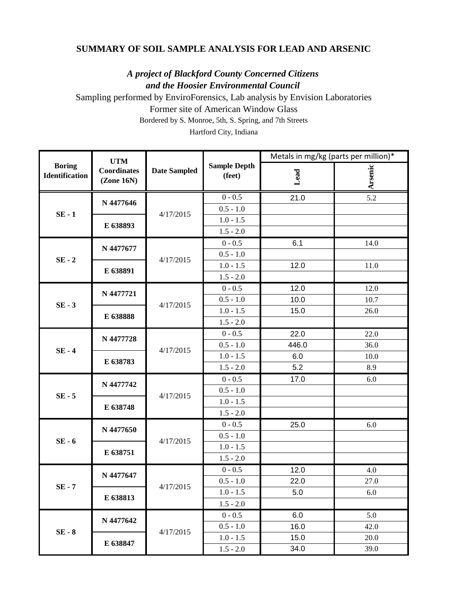## **SUMMARY OF SOIL SAMPLE ANALYSIS FOR LEAD AND ARSENIC**

## *A project of Blackford County Concerned Citizens and the Hoosier Environmental Council*

Sampling performed by EnviroForensics, Lab analysis by Envision Laboratories

Former site of American Window Glass

Bordered by S. Monroe, 5th, S. Spring, and 7th Streets

Hartford City, Indiana

| <b>Boring</b><br><b>Identification</b> | <b>UTM</b><br><b>Coordinates</b><br>(Zone 16N) | <b>Date Sampled</b> | <b>Sample Depth</b><br>(feet) | Metals in mg/kg (parts per million)* |                |
|----------------------------------------|------------------------------------------------|---------------------|-------------------------------|--------------------------------------|----------------|
|                                        |                                                |                     |                               | Lead                                 | <b>Arsenic</b> |
| $SE - 1$                               | N 4477646                                      | 4/17/2015           | $0 - 0.5$                     | 21.0                                 | 5.2            |
|                                        |                                                |                     | $0.5 - 1.0$                   |                                      |                |
|                                        | E 638893                                       |                     | $1.0 - 1.5$                   |                                      |                |
|                                        |                                                |                     | $1.5 - 2.0$                   |                                      |                |
| $SE - 2$                               | N 4477677                                      | 4/17/2015           | $0 - 0.5$                     | 6.1                                  | 14.0           |
|                                        |                                                |                     | $0.5 - 1.0$                   |                                      |                |
|                                        | E 638891                                       |                     | $1.0 - 1.5$                   | 12.0                                 | 11.0           |
|                                        |                                                |                     | $1.5 - 2.0$                   |                                      |                |
| $SE - 3$                               | N 4477721                                      | 4/17/2015           | $0 - 0.5$                     | 12.0                                 | 12.0           |
|                                        |                                                |                     | $0.5 - 1.0$                   | 10.0                                 | 10.7           |
|                                        | E 638888                                       |                     | $1.0 - 1.5$                   | 15.0                                 | 26.0           |
|                                        |                                                |                     | $1.5 - 2.0$                   |                                      |                |
| $SE - 4$                               | N 4477728                                      | 4/17/2015           | $0 - 0.5$                     | 22.0                                 | 22.0           |
|                                        |                                                |                     | $0.5 - 1.0$                   | 446.0                                | 36.0           |
|                                        | E 638783                                       |                     | $1.0 - 1.5$                   | 6.0                                  | 10.0           |
|                                        |                                                |                     | $1.5 - 2.0$                   | 5.2                                  | 8.9            |
| $SE - 5$                               | N 4477742                                      | 4/17/2015           | $0 - 0.5$                     | 17.0                                 | 6.0            |
|                                        |                                                |                     | $0.5 - 1.0$                   |                                      |                |
|                                        | E 638748                                       |                     | $1.0 - 1.5$                   |                                      |                |
|                                        |                                                |                     | $1.5 - 2.0$                   |                                      |                |
| $SE - 6$                               | N 4477650                                      | 4/17/2015           | $0 - 0.5$                     | 25.0                                 | 6.0            |
|                                        |                                                |                     | $0.5 - 1.0$                   |                                      |                |
|                                        | E 638751                                       |                     | $1.0 - 1.5$                   |                                      |                |
|                                        |                                                |                     | $1.5 - 2.0$                   |                                      |                |
|                                        | N 4477647                                      | 4/17/2015           | $0 - 0.5$                     | 12.0                                 | 4.0            |
| $SE - 7$                               |                                                |                     | $0.5 - 1.0$                   | 22.0                                 | 27.0           |
|                                        | E 638813                                       |                     | $1.0 - 1.5$                   | 5.0                                  | 6.0            |
|                                        |                                                |                     | $1.5 - 2.0$                   |                                      |                |
| $SE - 8$                               | N 4477642                                      | 4/17/2015           | $0 - 0.5$                     | 6.0                                  | 5.0            |
|                                        |                                                |                     | $0.5 - 1.0$                   | 16.0                                 | 42.0           |
|                                        | E 638847                                       |                     | $1.0 - 1.5$                   | 15.0                                 | 20.0           |
|                                        |                                                |                     | $1.5 - 2.0$                   | 34.0                                 | 39.0           |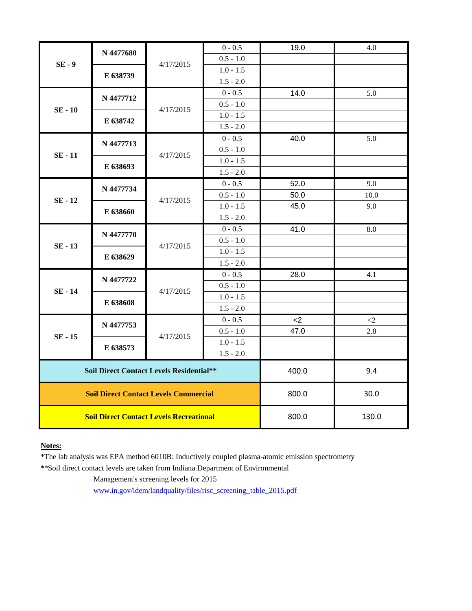| $SE-9$       | N 4477680             | 4/17/2015                                      | $0 - 0.5$   | 19.0  | 4.0      |
|--------------|-----------------------|------------------------------------------------|-------------|-------|----------|
|              |                       |                                                | $0.5 - 1.0$ |       |          |
|              |                       |                                                | $1.0 - 1.5$ |       |          |
| $SE - 10$    | E 638739<br>N 4477712 | 4/17/2015                                      | $1.5 - 2.0$ |       |          |
|              |                       |                                                | $0 - 0.5$   | 14.0  | 5.0      |
|              |                       |                                                | $0.5 - 1.0$ |       |          |
|              |                       |                                                | $1.0 - 1.5$ |       |          |
| $SE - 11$    | E 638742<br>N 4477713 | 4/17/2015                                      | $1.5 - 2.0$ |       |          |
|              |                       |                                                | $0 - 0.5$   | 40.0  | 5.0      |
|              |                       |                                                | $0.5 - 1.0$ |       |          |
|              | E 638693              |                                                | $1.0 - 1.5$ |       |          |
| $SE - 12$    | N 4477734             | 4/17/2015                                      | $1.5 - 2.0$ |       |          |
|              |                       |                                                | $0 - 0.5$   | 52.0  | 9.0      |
|              |                       |                                                | $0.5 - 1.0$ | 50.0  | 10.0     |
|              | E 638660              |                                                | $1.0 - 1.5$ | 45.0  | 9.0      |
|              |                       |                                                | $1.5 - 2.0$ |       |          |
| $SE - 13$    | N 4477770             | 4/17/2015                                      | $0 - 0.5$   | 41.0  | 8.0      |
|              | E 638629              |                                                | $0.5 - 1.0$ |       |          |
|              |                       |                                                | $1.0 - 1.5$ |       |          |
|              | N 4477722             | 4/17/2015                                      | $1.5 - 2.0$ |       |          |
|              |                       |                                                | $0 - 0.5$   | 28.0  | 4.1      |
| <b>SE-14</b> | E 638608              |                                                | $0.5 - 1.0$ |       |          |
|              |                       |                                                | $1.0 - 1.5$ |       |          |
| $SE - 15$    | N 4477753             | 4/17/2015                                      | $1.5 - 2.0$ |       |          |
|              |                       |                                                | $0 - 0.5$   | <     | $\leq$ 2 |
|              |                       |                                                | $0.5 - 1.0$ | 47.0  | 2.8      |
|              | E 638573              |                                                | $1.0 - 1.5$ |       |          |
|              |                       |                                                | $1.5 - 2.0$ |       |          |
|              |                       | Soil Direct Contact Levels Residential**       | 400.0       | 9.4   |          |
|              |                       | <b>Soil Direct Contact Levels Commercial</b>   | 800.0       | 30.0  |          |
|              |                       | <b>Soil Direct Contact Levels Recreational</b> | 800.0       | 130.0 |          |

## **Notes:**

\*The lab analysis was EPA method 6010B: Inductively coupled plasma-atomic emission spectrometry

\*\*Soil direct contact levels are taken from Indiana Department of Environmental

Management's screening levels for 2015 www.in.gov/idem/landquality/files/risc\_screening\_table\_2015.pdf